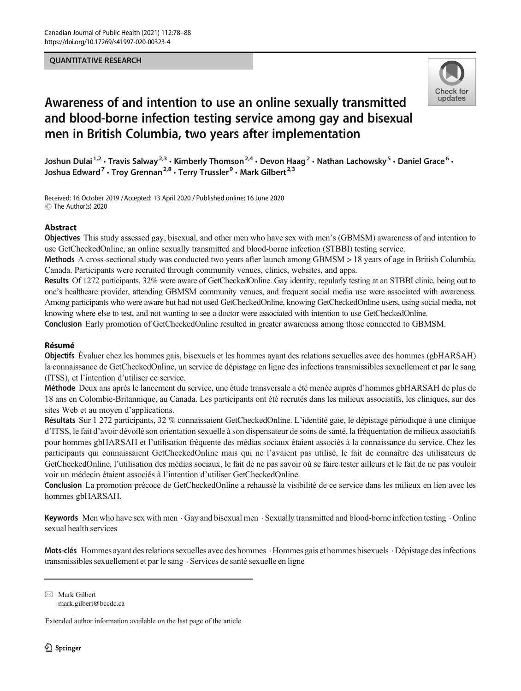# QUANTITATIVE RESEARCH



# Awareness of and intention to use an online sexually transmitted and blood-borne infection testing service among gay and bisexual men in British Columbia, two years after implementation

Joshun Dulai<sup>1,2</sup> • Travis Salway<sup>2,3</sup> • Kimberly Thomson<sup>2,4</sup> • Devon Haag<sup>2</sup> • Nathan Lachowsky<sup>5</sup> • Daniel Grace<sup>6</sup> • Joshua Edward<sup>7</sup> · Troy Grennan<sup>2,8</sup> · Terry Trussler<sup>9</sup> · Mark Gilbert<sup>2,3</sup>

Received: 16 October 2019 /Accepted: 13 April 2020 / Published online: 16 June 2020  $\circledcirc$  The Author(s) 2020

### Abstract

Objectives This study assessed gay, bisexual, and other men who have sex with men's (GBMSM) awareness of and intention to use GetCheckedOnline, an online sexually transmitted and blood-borne infection (STBBI) testing service.

Methods A cross-sectional study was conducted two years after launch among GBMSM > 18 years of age in British Columbia, Canada. Participants were recruited through community venues, clinics, websites, and apps.

Results Of 1272 participants, 32% were aware of GetCheckedOnline. Gay identity, regularly testing at an STBBI clinic, being out to one's healthcare provider, attending GBMSM community venues, and frequent social media use were associated with awareness. Among participants who were aware but had not used GetCheckedOnline, knowing GetCheckedOnline users, using social media, not knowing where else to test, and not wanting to see a doctor were associated with intention to use GetCheckedOnline.

Conclusion Early promotion of GetCheckedOnline resulted in greater awareness among those connected to GBMSM.

### Résumé

Objectifs Évaluer chez les hommes gais, bisexuels et les hommes ayant des relations sexuelles avec des hommes (gbHARSAH) la connaissance de GetCheckedOnline, un service de dépistage en ligne des infections transmissibles sexuellement et par le sang (ITSS), et l'intention d'utiliser ce service.

Méthode Deux ans après le lancement du service, une étude transversale a été menée auprès d'hommes gbHARSAH de plus de 18 ans en Colombie-Britannique, au Canada. Les participants ont été recrutés dans les milieux associatifs, les cliniques, sur des sites Web et au moyen d'applications.

Résultats Sur 1 272 participants, 32 % connaissaient GetCheckedOnline. L'identité gaie, le dépistage périodique à une clinique d'ITSS, le fait d'avoir dévoilé son orientation sexuelle à son dispensateur de soins de santé, la fréquentation de milieux associatifs pour hommes gbHARSAH et l'utilisation fréquente des médias sociaux étaient associés à la connaissance du service. Chez les participants qui connaissaient GetCheckedOnline mais qui ne l'avaient pas utilisé, le fait de connaître des utilisateurs de GetCheckedOnline, l'utilisation des médias sociaux, le fait de ne pas savoir où se faire tester ailleurs et le fait de ne pas vouloir voir un médecin étaient associés à l'intention d'utiliser GetCheckedOnline.

Conclusion La promotion précoce de GetCheckedOnline a rehaussé la visibilité de ce service dans les milieux en lien avec les hommes gbHARSAH.

Keywords Men who have sex with men  $\cdot$  Gay and bisexual men  $\cdot$  Sexually transmitted and blood-borne infection testing  $\cdot$  Online sexual health services

Mots-clés Hommes ayant des relations sexuelles avec des hommes · Hommes gais et hommes bisexuels · Dépistage des infections transmissibles sexuellement et par le sang . Services de santé sexuelle en ligne

 $\boxtimes$  Mark Gilbert [mark.gilbert@bccdc.ca](mailto:mark.gilbert@bccdc.ca)

Extended author information available on the last page of the article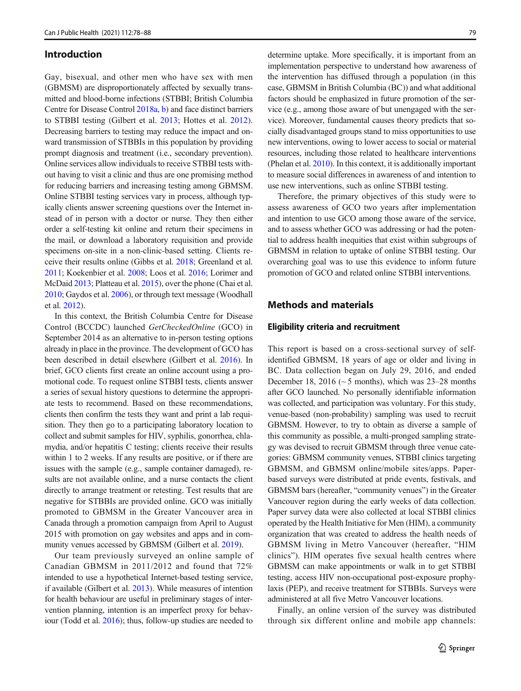### Introduction

Gay, bisexual, and other men who have sex with men (GBMSM) are disproportionately affected by sexually transmitted and blood-borne infections (STBBI; British Columbia Centre for Disease Control [2018a](#page-9-0), [b\)](#page-9-0) and face distinct barriers to STBBI testing (Gilbert et al. [2013](#page-9-0); Hottes et al. [2012](#page-9-0)). Decreasing barriers to testing may reduce the impact and onward transmission of STBBIs in this population by providing prompt diagnosis and treatment (i.e., secondary prevention). Online services allow individuals to receive STBBI tests without having to visit a clinic and thus are one promising method for reducing barriers and increasing testing among GBMSM. Online STBBI testing services vary in process, although typically clients answer screening questions over the Internet instead of in person with a doctor or nurse. They then either order a self-testing kit online and return their specimens in the mail, or download a laboratory requisition and provide specimens on-site in a non-clinic-based setting. Clients receive their results online (Gibbs et al. [2018;](#page-9-0) Greenland et al. [2011;](#page-9-0) Koekenbier et al. [2008;](#page-10-0) Loos et al. [2016](#page-10-0); Lorimer and McDaid [2013](#page-10-0); Platteau et al. [2015](#page-10-0)), over the phone (Chai et al. [2010;](#page-9-0) Gaydos et al. [2006\)](#page-9-0), or through text message (Woodhall et al. [2012](#page-10-0)).

In this context, the British Columbia Centre for Disease Control (BCCDC) launched GetCheckedOnline (GCO) in September 2014 as an alternative to in-person testing options already in place in the province. The development of GCO has been described in detail elsewhere (Gilbert et al. [2016\)](#page-9-0). In brief, GCO clients first create an online account using a promotional code. To request online STBBI tests, clients answer a series of sexual history questions to determine the appropriate tests to recommend. Based on these recommendations, clients then confirm the tests they want and print a lab requisition. They then go to a participating laboratory location to collect and submit samples for HIV, syphilis, gonorrhea, chlamydia, and/or hepatitis C testing; clients receive their results within 1 to 2 weeks. If any results are positive, or if there are issues with the sample (e.g., sample container damaged), results are not available online, and a nurse contacts the client directly to arrange treatment or retesting. Test results that are negative for STBBIs are provided online. GCO was initially promoted to GBMSM in the Greater Vancouver area in Canada through a promotion campaign from April to August 2015 with promotion on gay websites and apps and in community venues accessed by GBMSM (Gilbert et al. [2019\)](#page-9-0).

Our team previously surveyed an online sample of Canadian GBMSM in 2011/2012 and found that 72% intended to use a hypothetical Internet-based testing service, if available (Gilbert et al. [2013\)](#page-9-0). While measures of intention for health behaviour are useful in preliminary stages of intervention planning, intention is an imperfect proxy for behaviour (Todd et al. [2016\)](#page-10-0); thus, follow-up studies are needed to

determine uptake. More specifically, it is important from an implementation perspective to understand how awareness of the intervention has diffused through a population (in this case, GBMSM in British Columbia (BC)) and what additional factors should be emphasized in future promotion of the service (e.g., among those aware of but unengaged with the service). Moreover, fundamental causes theory predicts that socially disadvantaged groups stand to miss opportunities to use new interventions, owing to lower access to social or material resources, including those related to healthcare interventions (Phelan et al. [2010](#page-10-0)). In this context, it is additionally important to measure social differences in awareness of and intention to use new interventions, such as online STBBI testing.

Therefore, the primary objectives of this study were to assess awareness of GCO two years after implementation and intention to use GCO among those aware of the service, and to assess whether GCO was addressing or had the potential to address health inequities that exist within subgroups of GBMSM in relation to uptake of online STBBI testing. Our overarching goal was to use this evidence to inform future promotion of GCO and related online STBBI interventions.

# Methods and materials

### Eligibility criteria and recruitment

This report is based on a cross-sectional survey of selfidentified GBMSM, 18 years of age or older and living in BC. Data collection began on July 29, 2016, and ended December 18, 2016 ( $\sim$  5 months), which was 23–28 months after GCO launched. No personally identifiable information was collected, and participation was voluntary. For this study, venue-based (non-probability) sampling was used to recruit GBMSM. However, to try to obtain as diverse a sample of this community as possible, a multi-pronged sampling strategy was devised to recruit GBMSM through three venue categories: GBMSM community venues, STBBI clinics targeting GBMSM, and GBMSM online/mobile sites/apps. Paperbased surveys were distributed at pride events, festivals, and GBMSM bars (hereafter, "community venues") in the Greater Vancouver region during the early weeks of data collection. Paper survey data were also collected at local STBBI clinics operated by the Health Initiative for Men (HIM), a community organization that was created to address the health needs of GBMSM living in Metro Vancouver (hereafter, "HIM clinics"). HIM operates five sexual health centres where GBMSM can make appointments or walk in to get STBBI testing, access HIV non-occupational post-exposure prophylaxis (PEP), and receive treatment for STBBIs. Surveys were administered at all five Metro Vancouver locations.

Finally, an online version of the survey was distributed through six different online and mobile app channels: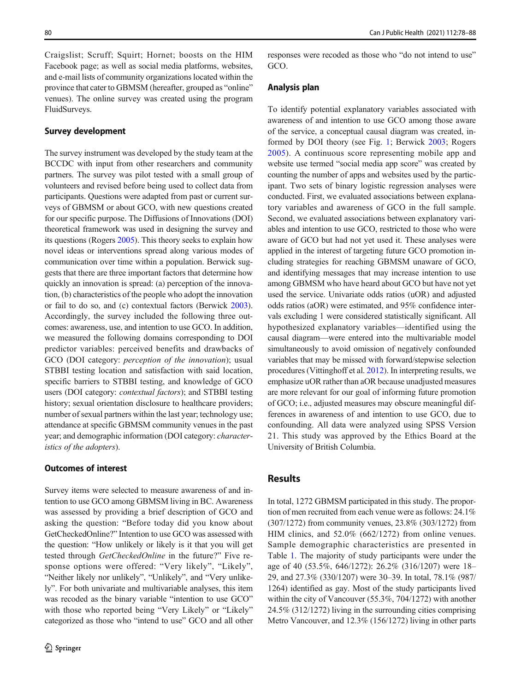Craigslist; Scruff; Squirt; Hornet; boosts on the HIM Facebook page; as well as social media platforms, websites, and e-mail lists of community organizations located within the province that cater to GBMSM (hereafter, grouped as "online" venues). The online survey was created using the program FluidSurveys.

#### Survey development

The survey instrument was developed by the study team at the BCCDC with input from other researchers and community partners. The survey was pilot tested with a small group of volunteers and revised before being used to collect data from participants. Questions were adapted from past or current surveys of GBMSM or about GCO, with new questions created for our specific purpose. The Diffusions of Innovations (DOI) theoretical framework was used in designing the survey and its questions (Rogers [2005\)](#page-10-0). This theory seeks to explain how novel ideas or interventions spread along various modes of communication over time within a population. Berwick suggests that there are three important factors that determine how quickly an innovation is spread: (a) perception of the innovation, (b) characteristics of the people who adopt the innovation or fail to do so, and (c) contextual factors (Berwick [2003\)](#page-9-0). Accordingly, the survey included the following three outcomes: awareness, use, and intention to use GCO. In addition, we measured the following domains corresponding to DOI predictor variables: perceived benefits and drawbacks of GCO (DOI category: perception of the innovation); usual STBBI testing location and satisfaction with said location, specific barriers to STBBI testing, and knowledge of GCO users (DOI category: contextual factors); and STBBI testing history; sexual orientation disclosure to healthcare providers; number of sexual partners within the last year; technology use; attendance at specific GBMSM community venues in the past year; and demographic information (DOI category: characteristics of the adopters).

### Outcomes of interest

Survey items were selected to measure awareness of and intention to use GCO among GBMSM living in BC. Awareness was assessed by providing a brief description of GCO and asking the question: "Before today did you know about GetCheckedOnline?" Intention to use GCO was assessed with the question: "How unlikely or likely is it that you will get tested through GetCheckedOnline in the future?" Five response options were offered: "Very likely", "Likely", "Neither likely nor unlikely", "Unlikely", and "Very unlikely". For both univariate and multivariable analyses, this item was recoded as the binary variable "intention to use GCO" with those who reported being "Very Likely" or "Likely" categorized as those who "intend to use" GCO and all other responses were recoded as those who "do not intend to use" GCO.

### Analysis plan

To identify potential explanatory variables associated with awareness of and intention to use GCO among those aware of the service, a conceptual causal diagram was created, informed by DOI theory (see Fig. [1](#page-3-0); Berwick [2003;](#page-9-0) Rogers [2005\)](#page-10-0). A continuous score representing mobile app and website use termed "social media app score" was created by counting the number of apps and websites used by the participant. Two sets of binary logistic regression analyses were conducted. First, we evaluated associations between explanatory variables and awareness of GCO in the full sample. Second, we evaluated associations between explanatory variables and intention to use GCO, restricted to those who were aware of GCO but had not yet used it. These analyses were applied in the interest of targeting future GCO promotion including strategies for reaching GBMSM unaware of GCO, and identifying messages that may increase intention to use among GBMSM who have heard about GCO but have not yet used the service. Univariate odds ratios (uOR) and adjusted odds ratios (aOR) were estimated, and 95% confidence intervals excluding 1 were considered statistically significant. All hypothesized explanatory variables—identified using the causal diagram—were entered into the multivariable model simultaneously to avoid omission of negatively confounded variables that may be missed with forward/stepwise selection procedures (Vittinghoff et al. [2012\)](#page-10-0). In interpreting results, we emphasize uOR rather than aOR because unadjusted measures are more relevant for our goal of informing future promotion of GCO; i.e., adjusted measures may obscure meaningful differences in awareness of and intention to use GCO, due to confounding. All data were analyzed using SPSS Version 21. This study was approved by the Ethics Board at the University of British Columbia.

# **Results**

In total, 1272 GBMSM participated in this study. The proportion of men recruited from each venue were as follows: 24.1% (307/1272) from community venues, 23.8% (303/1272) from HIM clinics, and 52.0% (662/1272) from online venues. Sample demographic characteristics are presented in Table [1.](#page-4-0) The majority of study participants were under the age of 40 (53.5%, 646/1272): 26.2% (316/1207) were 18– 29, and 27.3% (330/1207) were 30–39. In total, 78.1% (987/ 1264) identified as gay. Most of the study participants lived within the city of Vancouver (55.3%, 704/1272) with another 24.5% (312/1272) living in the surrounding cities comprising Metro Vancouver, and 12.3% (156/1272) living in other parts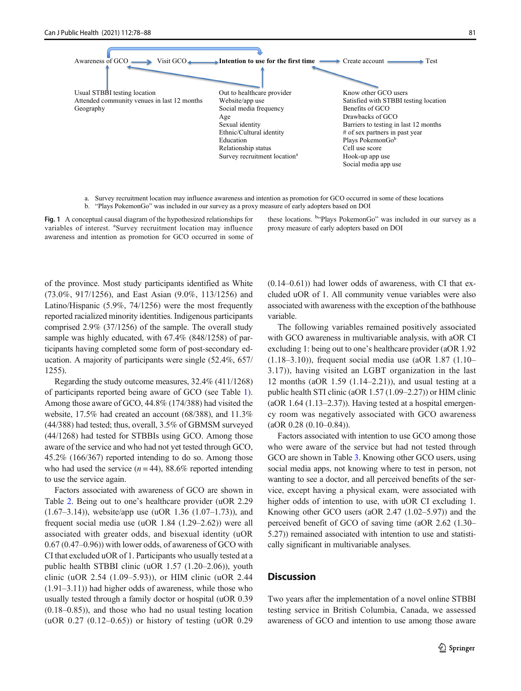<span id="page-3-0"></span>

a. Survey recruitment location may influence awareness and intention as promotion for GCO occurred in some of these locations b. "Plays PokemonGo" was included in our survey as a proxy measure of early adopters based on DOI

Fig. 1 A conceptual causal diagram of the hypothesized relationships for variables of interest. <sup>a</sup>Survey recruitment location may influence awareness and intention as promotion for GCO occurred in some of

these locations. <sup>b</sup>"Plays PokemonGo" was included in our survey as a proxy measure of early adopters based on DOI

of the province. Most study participants identified as White (73.0%, 917/1256), and East Asian (9.0%, 113/1256) and Latino/Hispanic (5.9%, 74/1256) were the most frequently reported racialized minority identities. Indigenous participants comprised 2.9% (37/1256) of the sample. The overall study sample was highly educated, with 67.4% (848/1258) of participants having completed some form of post-secondary education. A majority of participants were single (52.4%, 657/ 1255).

Regarding the study outcome measures, 32.4% (411/1268) of participants reported being aware of GCO (see Table [1\)](#page-4-0). Among those aware of GCO, 44.8% (174/388) had visited the website, 17.5% had created an account (68/388), and 11.3% (44/388) had tested; thus, overall, 3.5% of GBMSM surveyed (44/1268) had tested for STBBIs using GCO. Among those aware of the service and who had not yet tested through GCO, 45.2% (166/367) reported intending to do so. Among those who had used the service  $(n = 44)$ , 88.6% reported intending to use the service again.

Factors associated with awareness of GCO are shown in Table [2.](#page-6-0) Being out to one's healthcare provider (uOR 2.29 (1.67–3.14)), website/app use (uOR 1.36 (1.07–1.73)), and frequent social media use (uOR 1.84 (1.29–2.62)) were all associated with greater odds, and bisexual identity (uOR 0.67 (0.47–0.96)) with lower odds, of awareness of GCO with CI that excluded uOR of 1. Participants who usually tested at a public health STBBI clinic (uOR 1.57 (1.20–2.06)), youth clinic (uOR 2.54 (1.09–5.93)), or HIM clinic (uOR 2.44 (1.91–3.11)) had higher odds of awareness, while those who usually tested through a family doctor or hospital (uOR 0.39 (0.18–0.85)), and those who had no usual testing location (uOR 0.27 (0.12–0.65)) or history of testing (uOR 0.29  $(0.14-0.61)$ ) had lower odds of awareness, with CI that excluded uOR of 1. All community venue variables were also associated with awareness with the exception of the bathhouse variable.

The following variables remained positively associated with GCO awareness in multivariable analysis, with aOR CI excluding 1: being out to one's healthcare provider (aOR 1.92 (1.18–3.10)), frequent social media use (aOR 1.87 (1.10– 3.17)), having visited an LGBT organization in the last 12 months (aOR 1.59 (1.14–2.21)), and usual testing at a public health STI clinic (aOR 1.57 (1.09–2.27)) or HIM clinic (aOR 1.64 (1.13–2.37)). Having tested at a hospital emergency room was negatively associated with GCO awareness (aOR 0.28 (0.10–0.84)).

Factors associated with intention to use GCO among those who were aware of the service but had not tested through GCO are shown in Table [3](#page-8-0). Knowing other GCO users, using social media apps, not knowing where to test in person, not wanting to see a doctor, and all perceived benefits of the service, except having a physical exam, were associated with higher odds of intention to use, with uOR CI excluding 1. Knowing other GCO users (aOR 2.47 (1.02–5.97)) and the perceived benefit of GCO of saving time (aOR 2.62 (1.30– 5.27)) remained associated with intention to use and statistically significant in multivariable analyses.

# **Discussion**

Two years after the implementation of a novel online STBBI testing service in British Columbia, Canada, we assessed awareness of GCO and intention to use among those aware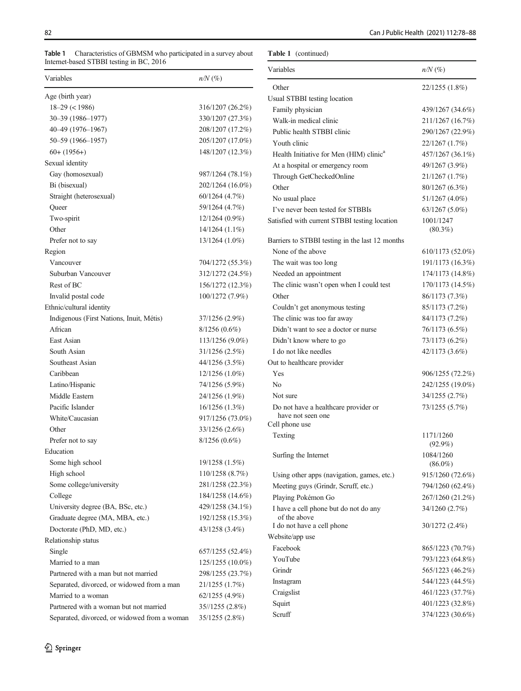<span id="page-4-0"></span>Table 1 Characteristics of GBMSM who participated in a survey about Internet-based STBBI testing in BC, 2016 Internet-based STBBI testing in BC, 2016

|  | Table 1 (continued) |
|--|---------------------|
|--|---------------------|

| Internet-based STBBI testing in BC, 2016     |                     |                                                     |                         |
|----------------------------------------------|---------------------|-----------------------------------------------------|-------------------------|
| Variables                                    | $n/N$ (%)           | Variables                                           | $n/N$ (%)               |
| Age (birth year)                             |                     | Other                                               | 22/1255 (1.8%)          |
| $18 - 29 \le 1986$                           | 316/1207 (26.2%)    | Usual STBBI testing location                        |                         |
| 30-39 (1986-1977)                            | 330/1207 (27.3%)    | Family physician                                    | 439/1267 (34.6%)        |
| 40-49 (1976-1967)                            | 208/1207 (17.2%)    | Walk-in medical clinic                              | 211/1267 (16.7%)        |
| 50-59 (1966-1957)                            | 205/1207 (17.0%)    | Public health STBBI clinic                          | 290/1267 (22.9%)        |
| $60+ (1956+)$                                | 148/1207 (12.3%)    | Youth clinic                                        | 22/1267 (1.7%)          |
|                                              |                     | Health Initiative for Men (HIM) clinic <sup>a</sup> | 457/1267 (36.1%)        |
| Sexual identity                              |                     | At a hospital or emergency room                     | 49/1267 (3.9%)          |
| Gay (homosexual)                             | 987/1264 (78.1%)    | Through GetCheckedOnline                            | 21/1267 (1.7%)          |
| Bi (bisexual)                                | 202/1264 (16.0%)    | Other                                               | 80/1267 (6.3%)          |
| Straight (heterosexual)                      | 60/1264 (4.7%)      | No usual place                                      | 51/1267 (4.0%)          |
| Queer                                        | 59/1264 (4.7%)      | I've never been tested for STBBIs                   | 63/1267 (5.0%)          |
| Two-spirit                                   | $12/1264(0.9\%)$    | Satisfied with current STBBI testing location       | 1001/1247               |
| Other                                        | $14/1264$ $(1.1\%)$ |                                                     | $(80.3\%)$              |
| Prefer not to say                            | 13/1264 (1.0%)      | Barriers to STBBI testing in the last 12 months     |                         |
| Region                                       |                     | None of the above                                   | 610/1173 (52.0%)        |
| Vancouver                                    | 704/1272 (55.3%)    | The wait was too long                               | 191/1173 (16.3%)        |
| Suburban Vancouver                           | 312/1272 (24.5%)    | Needed an appointment                               | 174/1173 (14.8%)        |
| Rest of BC                                   | 156/1272 (12.3%)    | The clinic wasn't open when I could test            | 170/1173 (14.5%)        |
| Invalid postal code                          | 100/1272 (7.9%)     | Other                                               | 86/1173 (7.3%)          |
| Ethnic/cultural identity                     |                     | Couldn't get anonymous testing                      | 85/1173 (7.2%)          |
| Indigenous (First Nations, Inuit, Métis)     | 37/1256 (2.9%)      | The clinic was too far away                         | 84/1173 (7.2%)          |
| African                                      | $8/1256(0.6\%)$     | Didn't want to see a doctor or nurse                | 76/1173 (6.5%)          |
| East Asian                                   | 113/1256 (9.0%)     | Didn't know where to go                             | 73/1173 (6.2%)          |
| South Asian                                  | 31/1256 (2.5%)      | I do not like needles                               | 42/1173 (3.6%)          |
| Southeast Asian                              | 44/1256 (3.5%)      | Out to healthcare provider                          |                         |
| Caribbean                                    | 12/1256 (1.0%)      | Yes                                                 | 906/1255 (72.2%)        |
| Latino/Hispanic                              | 74/1256 (5.9%)      | No                                                  | 242/1255 (19.0%)        |
| Middle Eastern                               | 24/1256 (1.9%)      | Not sure                                            | 34/1255 (2.7%)          |
| Pacific Islander                             | 16/1256 (1.3%)      | Do not have a healthcare provider or                | 73/1255 (5.7%)          |
| White/Caucasian                              | 917/1256 (73.0%)    | have not seen one                                   |                         |
| Other                                        | 33/1256 (2.6%)      | Cell phone use                                      |                         |
| Prefer not to say                            | $8/1256(0.6\%)$     | Texting                                             | 1171/1260               |
| Education                                    |                     |                                                     | $(92.9\%)$<br>1084/1260 |
| Some high school                             | 19/1258 (1.5%)      | Surfing the Internet                                | $(86.0\%)$              |
| High school                                  | 110/1258 (8.7%)     | Using other apps (navigation, games, etc.)          | 915/1260 (72.6%)        |
| Some college/university                      | 281/1258 (22.3%)    | Meeting guys (Grindr, Scruff, etc.)                 | 794/1260 (62.4%)        |
| College                                      | 184/1258 (14.6%)    | Playing Pokémon Go                                  | 267/1260 (21.2%)        |
| University degree (BA, BSc, etc.)            | 429/1258 (34.1%)    | I have a cell phone but do not do any               | 34/1260 (2.7%)          |
| Graduate degree (MA, MBA, etc.)              | 192/1258 (15.3%)    | of the above                                        |                         |
| Doctorate (PhD, MD, etc.)                    | 43/1258 (3.4%)      | I do not have a cell phone                          | 30/1272 (2.4%)          |
| Relationship status                          |                     | Website/app use                                     |                         |
| Single                                       | 657/1255 (52.4%)    | Facebook                                            | 865/1223 (70.7%)        |
| Married to a man                             | 125/1255 (10.0%)    | YouTube                                             | 793/1223 (64.8%)        |
| Partnered with a man but not married         | 298/1255 (23.7%)    | Grindr                                              | 565/1223 (46.2%)        |
| Separated, divorced, or widowed from a man   | 21/1255 (1.7%)      | Instagram                                           | 544/1223 (44.5%)        |
| Married to a woman                           | 62/1255 (4.9%)      | Craigslist                                          | 461/1223 (37.7%)        |
| Partnered with a woman but not married       | 35//1255 (2.8%)     | Squirt                                              | 401/1223 (32.8%)        |
| Separated, divorced, or widowed from a woman | 35/1255 (2.8%)      | Scruff                                              | 374/1223 (30.6%)        |
|                                              |                     |                                                     |                         |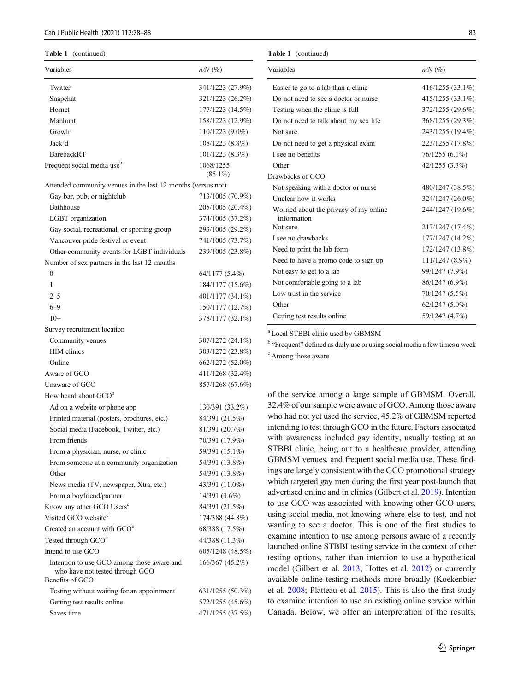#### Table 1 (continued)

| Variables                                                    | $n/N$ (%)        |
|--------------------------------------------------------------|------------------|
| Twitter                                                      | 341/1223 (27.9%) |
| Snapchat                                                     | 321/1223 (26.2%) |
| Hornet                                                       | 177/1223 (14.5%) |
| Manhunt                                                      | 158/1223 (12.9%) |
| Growlr                                                       | 110/1223 (9.0%)  |
| Jack'd                                                       | 108/1223 (8.8%)  |
| <b>BarebackRT</b>                                            | 101/1223 (8.3%)  |
| Frequent social media use <sup>b</sup>                       | 1068/1255        |
|                                                              | $(85.1\%)$       |
| Attended community venues in the last 12 months (versus not) |                  |
| Gay bar, pub, or nightclub                                   | 713/1005 (70.9%) |
| Bathhouse                                                    | 205/1005 (20.4%) |
| LGBT organization                                            | 374/1005 (37.2%) |
| Gay social, recreational, or sporting group                  | 293/1005 (29.2%) |
| Vancouver pride festival or event                            | 741/1005 (73.7%) |
| Other community events for LGBT individuals                  | 239/1005 (23.8%) |
| Number of sex partners in the last 12 months                 |                  |
| $\mathbf{0}$                                                 | 64/1177 (5.4%)   |
| 1                                                            | 184/1177 (15.6%) |
| $2 - 5$                                                      | 401/1177 (34.1%) |
| $6 - 9$                                                      | 150/1177 (12.7%) |
| $10+$                                                        | 378/1177 (32.1%) |
| Survey recruitment location                                  |                  |
| Community venues                                             | 307/1272 (24.1%) |
| <b>HIM</b> clinics                                           | 303/1272 (23.8%) |
| Online                                                       | 662/1272 (52.0%) |
| Aware of GCO                                                 | 411/1268 (32.4%) |
| Unaware of GCO                                               | 857/1268 (67.6%) |
| How heard about GCO <sup>b</sup>                             |                  |
| Ad on a website or phone app                                 | 130/391 (33.2%)  |
| Printed material (posters, brochures, etc.)                  | 84/391 (21.5%)   |
| Social media (Facebook, Twitter, etc.)                       | 81/391 (20.7%)   |
| From friends                                                 | 70/391 (17.9%)   |
| From a physician, nurse, or clinic                           | 59/391 (15.1%)   |
| From someone at a community organization                     | 54/391 (13.8%)   |
| Other                                                        | 54/391 (13.8%)   |
| News media (TV, newspaper, Xtra, etc.)                       | 43/391 (11.0%)   |
| From a boyfriend/partner                                     | 14/391 (3.6%)    |
| Know any other GCO Users <sup>c</sup>                        | 84/391 (21.5%)   |
| Visited GCO website <sup>c</sup>                             | 174/388 (44.8%)  |
| Created an account with GCO <sup>c</sup>                     | 68/388 (17.5%)   |
| Tested through GCO <sup>c</sup>                              | 44/388 (11.3%)   |
| Intend to use GCO                                            | 605/1248 (48.5%) |
| Intention to use GCO among those aware and                   | 166/367 (45.2%)  |
| who have not tested through GCO                              |                  |
| Benefits of GCO                                              |                  |
| Testing without waiting for an appointment                   | 631/1255 (50.3%) |
| Getting test results online                                  | 572/1255 (45.6%) |
| Saves time                                                   | 471/1255 (37.5%) |

#### Table 1 (continued)

| Variables                                             | $n/N$ (%)        |
|-------------------------------------------------------|------------------|
| Easier to go to a lab than a clinic                   | 416/1255 (33.1%) |
| Do not need to see a doctor or nurse                  | 415/1255 (33.1%) |
| Testing when the clinic is full                       | 372/1255 (29.6%) |
| Do not need to talk about my sex life                 | 368/1255 (29.3%) |
| Not sure                                              | 243/1255 (19.4%) |
| Do not need to get a physical exam                    | 223/1255 (17.8%) |
| I see no benefits                                     | 76/1255 (6.1%)   |
| Other                                                 | 42/1255 (3.3%)   |
| Drawbacks of GCO                                      |                  |
| Not speaking with a doctor or nurse.                  | 480/1247 (38.5%) |
| Unclear how it works                                  | 324/1247 (26.0%) |
| Worried about the privacy of my online<br>information | 244/1247 (19.6%) |
| Not sure                                              | 217/1247 (17.4%) |
| I see no drawbacks                                    | 177/1247 (14.2%) |
| Need to print the lab form                            | 172/1247 (13.8%) |
| Need to have a promo code to sign up                  | 111/1247 (8.9%)  |
| Not easy to get to a lab                              | 99/1247 (7.9%)   |
| Not comfortable going to a lab                        | 86/1247 (6.9%)   |
| Low trust in the service                              | 70/1247 (5.5%)   |
| Other                                                 | $62/1247(5.0\%)$ |
| Getting test results online                           | 59/1247 (4.7%)   |
|                                                       |                  |

a Local STBBI clinic used by GBMSM

<sup>b</sup> "Frequent" defined as daily use or using social media a few times a week <sup>c</sup> Among those aware

of the service among a large sample of GBMSM. Overall, 32.4% of our sample were aware of GCO. Among those aware who had not yet used the service, 45.2% of GBMSM reported intending to test through GCO in the future. Factors associated with awareness included gay identity, usually testing at an STBBI clinic, being out to a healthcare provider, attending GBMSM venues, and frequent social media use. These findings are largely consistent with the GCO promotional strategy which targeted gay men during the first year post-launch that advertised online and in clinics (Gilbert et al. [2019](#page-9-0)). Intention to use GCO was associated with knowing other GCO users, using social media, not knowing where else to test, and not wanting to see a doctor. This is one of the first studies to examine intention to use among persons aware of a recently launched online STBBI testing service in the context of other testing options, rather than intention to use a hypothetical model (Gilbert et al. [2013;](#page-9-0) Hottes et al. [2012\)](#page-9-0) or currently available online testing methods more broadly (Koekenbier et al. [2008;](#page-10-0) Platteau et al. [2015](#page-10-0)). This is also the first study to examine intention to use an existing online service within Canada. Below, we offer an interpretation of the results,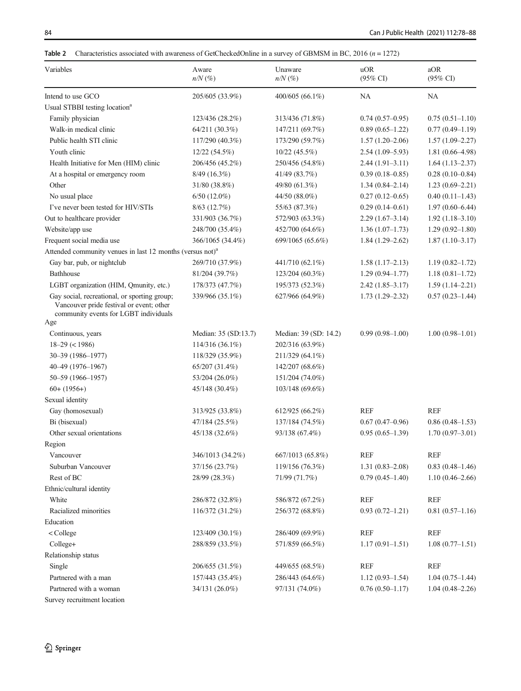# <span id="page-6-0"></span>Table 2 Characteristics associated with awareness of GetCheckedOnline in a survey of GBMSM in BC, 2016 ( $n = 1272$ )

| Variables                                                                                                                         | Aware<br>$n/N$ (%)   | Unaware<br>$n/N$ (%)  | uOR<br>$(95\% \text{ CI})$ | aOR<br>$(95\% \text{ CI})$ |
|-----------------------------------------------------------------------------------------------------------------------------------|----------------------|-----------------------|----------------------------|----------------------------|
| Intend to use GCO                                                                                                                 | 205/605 (33.9%)      | 400/605 (66.1%)       | NA                         | NA                         |
| Usual STBBI testing location <sup>a</sup>                                                                                         |                      |                       |                            |                            |
| Family physician                                                                                                                  | 123/436 (28.2%)      | 313/436 (71.8%)       | $0.74(0.57-0.95)$          | $0.75(0.51-1.10)$          |
| Walk-in medical clinic                                                                                                            | $64/211(30.3\%)$     | 147/211 (69.7%)       | $0.89(0.65-1.22)$          | $0.77(0.49-1.19)$          |
| Public health STI clinic                                                                                                          | 117/290 (40.3%)      | 173/290 (59.7%)       | $1.57(1.20-2.06)$          | $1.57(1.09 - 2.27)$        |
| Youth clinic                                                                                                                      | 12/22(54.5%)         | $10/22$ (45.5%)       | $2.54(1.09 - 5.93)$        | $1.81(0.66-4.98)$          |
| Health Initiative for Men (HIM) clinic                                                                                            | 206/456 (45.2%)      | 250/456 (54.8%)       | $2.44(1.91 - 3.11)$        | $1.64(1.13-2.37)$          |
| At a hospital or emergency room                                                                                                   | 8/49 (16.3%)         | 41/49 (83.7%)         | $0.39(0.18 - 0.85)$        | $0.28(0.10-0.84)$          |
| Other                                                                                                                             | 31/80 (38.8%)        | 49/80 (61.3%)         | $1.34(0.84 - 2.14)$        | $1.23(0.69-2.21)$          |
| No usual place                                                                                                                    | $6/50(12.0\%)$       | 44/50 (88.0%)         | $0.27(0.12 - 0.65)$        | $0.40(0.11-1.43)$          |
| I've never been tested for HIV/STIs                                                                                               | 8/63 (12.7%)         | 55/63 (87.3%)         | $0.29(0.14 - 0.61)$        | $1.97(0.60 - 6.44)$        |
| Out to healthcare provider                                                                                                        | 331/903 (36.7%)      | 572/903 (63.3%)       | $2.29(1.67-3.14)$          | $1.92(1.18-3.10)$          |
| Website/app use                                                                                                                   | 248/700 (35.4%)      | 452/700 (64.6%)       | $1.36(1.07-1.73)$          | $1.29(0.92 - 1.80)$        |
| Frequent social media use                                                                                                         | 366/1065 (34.4%)     | 699/1065 (65.6%)      | $1.84(1.29-2.62)$          | $1.87(1.10-3.17)$          |
| Attended community venues in last 12 months (versus not) <sup>a</sup>                                                             |                      |                       |                            |                            |
| Gay bar, pub, or nightclub                                                                                                        | 269/710 (37.9%)      | 441/710 (62.1%)       | $1.58(1.17-2.13)$          | $1.19(0.82 - 1.72)$        |
| Bathhouse                                                                                                                         | 81/204 (39.7%)       | 123/204 (60.3%)       | $1.29(0.94 - 1.77)$        | $1.18(0.81-1.72)$          |
| LGBT organization (HIM, Qmunity, etc.)                                                                                            | 178/373 (47.7%)      | 195/373 (52.3%)       | $2.42(1.85-3.17)$          | $1.59(1.14-2.21)$          |
| Gay social, recreational, or sporting group;<br>Vancouver pride festival or event; other<br>community events for LGBT individuals | 339/966 (35.1%)      | 627/966 (64.9%)       | $1.73(1.29-2.32)$          | $0.57(0.23 - 1.44)$        |
| Age                                                                                                                               |                      |                       |                            |                            |
| Continuous, years                                                                                                                 | Median: 35 (SD:13.7) | Median: 39 (SD: 14.2) | $0.99(0.98 - 1.00)$        | $1.00(0.98 - 1.01)$        |
| $18 - 29 \le 1986$                                                                                                                | 114/316 (36.1%)      | 202/316 (63.9%)       |                            |                            |
| 30-39 (1986-1977)                                                                                                                 | 118/329 (35.9%)      | 211/329 (64.1%)       |                            |                            |
| 40-49 (1976-1967)                                                                                                                 | 65/207 (31.4%)       | 142/207 (68.6%)       |                            |                            |
| 50-59 (1966-1957)                                                                                                                 | 53/204 (26.0%)       | 151/204 (74.0%)       |                            |                            |
| $60 + (1956+)$                                                                                                                    | 45/148 (30.4%)       | 103/148 (69.6%)       |                            |                            |
| Sexual identity                                                                                                                   |                      |                       |                            |                            |
| Gay (homosexual)                                                                                                                  | 313/925 (33.8%)      | 612/925 (66.2%)       | <b>REF</b>                 | <b>REF</b>                 |
| Bi (bisexual)                                                                                                                     | 47/184 (25.5%)       | 137/184 (74.5%)       | $0.67(0.47-0.96)$          | $0.86(0.48-1.53)$          |
| Other sexual orientations                                                                                                         | 45/138 (32.6%)       | 93/138 (67.4%)        | $0.95(0.65-1.39)$          | $1.70(0.97 - 3.01)$        |
| Region                                                                                                                            |                      |                       |                            |                            |
| Vancouver                                                                                                                         | 346/1013 (34.2%)     | 667/1013 (65.8%)      | <b>REF</b>                 | <b>REF</b>                 |
| Suburban Vancouver                                                                                                                | 37/156 (23.7%)       | 119/156 (76.3%)       | $1.31(0.83 - 2.08)$        | $0.83(0.48 - 1.46)$        |
| Rest of BC                                                                                                                        | 28/99 (28.3%)        | 71/99 (71.7%)         | $0.79(0.45 - 1.40)$        | $1.10(0.46-2.66)$          |
| Ethnic/cultural identity                                                                                                          |                      |                       |                            |                            |
| White                                                                                                                             | 286/872 (32.8%)      | 586/872 (67.2%)       | <b>REF</b>                 | <b>REF</b>                 |
| Racialized minorities                                                                                                             | 116/372 (31.2%)      | 256/372 (68.8%)       | $0.93(0.72 - 1.21)$        | $0.81(0.57-1.16)$          |
| Education                                                                                                                         |                      |                       |                            |                            |
| $<$ College                                                                                                                       | 123/409 (30.1%)      | 286/409 (69.9%)       | <b>REF</b>                 | <b>REF</b>                 |
| College+                                                                                                                          | 288/859 (33.5%)      | 571/859 (66.5%)       | $1.17(0.91-1.51)$          | $1.08(0.77-1.51)$          |
| Relationship status                                                                                                               |                      |                       |                            |                            |
| Single                                                                                                                            | 206/655 (31.5%)      | 449/655 (68.5%)       | <b>REF</b>                 | <b>REF</b>                 |
| Partnered with a man                                                                                                              | 157/443 (35.4%)      | 286/443 (64.6%)       | $1.12(0.93 - 1.54)$        | $1.04(0.75-1.44)$          |
| Partnered with a woman                                                                                                            | 34/131 (26.0%)       | 97/131 (74.0%)        | $0.76(0.50-1.17)$          | $1.04(0.48 - 2.26)$        |

Survey recruitment location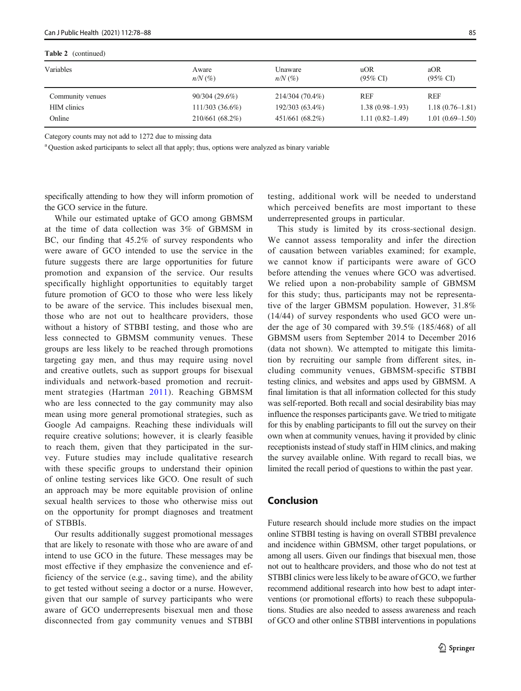Table 2 (continued)

| Variables          | Aware<br>$n/N$ (%) | Unaware<br>$n/N$ (%) | uOR<br>$(95\% \text{ CI})$ | aOR<br>$(95\% \text{ CI})$ |
|--------------------|--------------------|----------------------|----------------------------|----------------------------|
| Community venues   | 90/304(29.6%)      | 214/304 (70.4%)      | REF                        | <b>REF</b>                 |
| <b>HIM</b> clinics | 111/303(36.6%)     | 192/303 (63.4%)      | $1.38(0.98-1.93)$          | $1.18(0.76 - 1.81)$        |
| Online             | 210/661 (68.2%)    | 451/661 (68.2%)      | $1.11(0.82 - 1.49)$        | $1.01(0.69-1.50)$          |
|                    |                    |                      |                            |                            |

Category counts may not add to 1272 due to missing data

<sup>a</sup> Question asked participants to select all that apply; thus, options were analyzed as binary variable

specifically attending to how they will inform promotion of the GCO service in the future.

While our estimated uptake of GCO among GBMSM at the time of data collection was 3% of GBMSM in BC, our finding that 45.2% of survey respondents who were aware of GCO intended to use the service in the future suggests there are large opportunities for future promotion and expansion of the service. Our results specifically highlight opportunities to equitably target future promotion of GCO to those who were less likely to be aware of the service. This includes bisexual men, those who are not out to healthcare providers, those without a history of STBBI testing, and those who are less connected to GBMSM community venues. These groups are less likely to be reached through promotions targeting gay men, and thus may require using novel and creative outlets, such as support groups for bisexual individuals and network-based promotion and recruitment strategies (Hartman [2011](#page-9-0)). Reaching GBMSM who are less connected to the gay community may also mean using more general promotional strategies, such as Google Ad campaigns. Reaching these individuals will require creative solutions; however, it is clearly feasible to reach them, given that they participated in the survey. Future studies may include qualitative research with these specific groups to understand their opinion of online testing services like GCO. One result of such an approach may be more equitable provision of online sexual health services to those who otherwise miss out on the opportunity for prompt diagnoses and treatment of STBBIs.

Our results additionally suggest promotional messages that are likely to resonate with those who are aware of and intend to use GCO in the future. These messages may be most effective if they emphasize the convenience and efficiency of the service (e.g., saving time), and the ability to get tested without seeing a doctor or a nurse. However, given that our sample of survey participants who were aware of GCO underrepresents bisexual men and those disconnected from gay community venues and STBBI testing, additional work will be needed to understand which perceived benefits are most important to these underrepresented groups in particular.

This study is limited by its cross-sectional design. We cannot assess temporality and infer the direction of causation between variables examined; for example, we cannot know if participants were aware of GCO before attending the venues where GCO was advertised. We relied upon a non-probability sample of GBMSM for this study; thus, participants may not be representative of the larger GBMSM population. However, 31.8% (14/44) of survey respondents who used GCO were under the age of 30 compared with 39.5% (185/468) of all GBMSM users from September 2014 to December 2016 (data not shown). We attempted to mitigate this limitation by recruiting our sample from different sites, including community venues, GBMSM-specific STBBI testing clinics, and websites and apps used by GBMSM. A final limitation is that all information collected for this study was self-reported. Both recall and social desirability bias may influence the responses participants gave. We tried to mitigate for this by enabling participants to fill out the survey on their own when at community venues, having it provided by clinic receptionists instead of study staff in HIM clinics, and making the survey available online. With regard to recall bias, we limited the recall period of questions to within the past year.

# Conclusion

Future research should include more studies on the impact online STBBI testing is having on overall STBBI prevalence and incidence within GBMSM, other target populations, or among all users. Given our findings that bisexual men, those not out to healthcare providers, and those who do not test at STBBI clinics were less likely to be aware of GCO, we further recommend additional research into how best to adapt interventions (or promotional efforts) to reach these subpopulations. Studies are also needed to assess awareness and reach of GCO and other online STBBI interventions in populations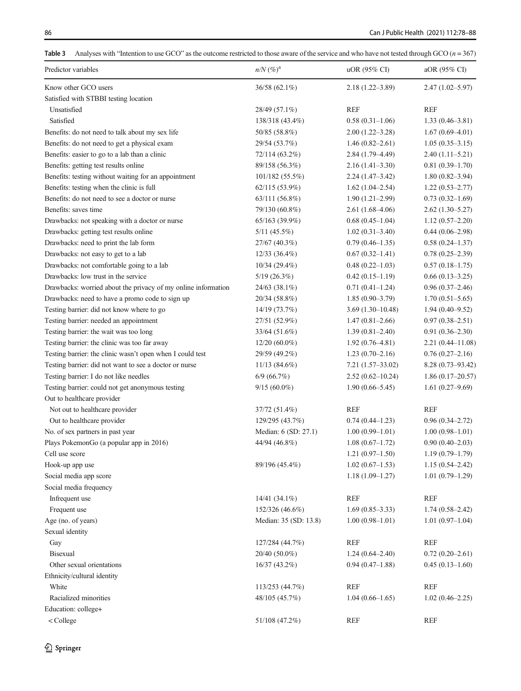<span id="page-8-0"></span>

|  |  |  |  |  |  | <b>Table 3</b> Analyses with "Intention to use GCO" as the outcome restricted to those aware of the service and who have not tested through GCO $(n = 367)$ |
|--|--|--|--|--|--|-------------------------------------------------------------------------------------------------------------------------------------------------------------|
|--|--|--|--|--|--|-------------------------------------------------------------------------------------------------------------------------------------------------------------|

| Predictor variables                                           | $n/N$ $(\%)^a$        | uOR (95% CI)         | aOR (95% CI)         |
|---------------------------------------------------------------|-----------------------|----------------------|----------------------|
| Know other GCO users                                          | 36/58 (62.1%)         | $2.18(1.22 - 3.89)$  | $2.47(1.02 - 5.97)$  |
| Satisfied with STBBI testing location                         |                       |                      |                      |
| Unsatisfied                                                   | 28/49 (57.1%)         | <b>REF</b>           | <b>REF</b>           |
| Satisfied                                                     | 138/318 (43.4%)       | $0.58(0.31-1.06)$    | $1.33(0.46 - 3.81)$  |
| Benefits: do not need to talk about my sex life               | 50/85 (58.8%)         | $2.00(1.22 - 3.28)$  | $1.67(0.69 - 4.01)$  |
| Benefits: do not need to get a physical exam                  | 29/54 (53.7%)         | $1.46(0.82 - 2.61)$  | $1.05(0.35-3.15)$    |
| Benefits: easier to go to a lab than a clinic                 | 72/114 (63.2%)        | $2.84(1.79-4.49)$    | $2.40(1.11-5.21)$    |
| Benefits: getting test results online                         | 89/158 (56.3%)        | $2.16(1.41-3.30)$    | $0.81(0.39-1.70)$    |
| Benefits: testing without waiting for an appointment          | 101/182 (55.5%)       | $2.24(1.47-3.42)$    | $1.80(0.82 - 3.94)$  |
| Benefits: testing when the clinic is full                     | 62/115 (53.9%)        | $1.62(1.04-2.54)$    | $1.22(0.53 - 2.77)$  |
| Benefits: do not need to see a doctor or nurse                | 63/111 (56.8%)        | $1.90(1.21-2.99)$    | $0.73(0.32-1.69)$    |
| Benefits: saves time                                          | 79/130 (60.8%)        | $2.61(1.68 - 4.06)$  | $2.62(1.30-5.27)$    |
| Drawbacks: not speaking with a doctor or nurse                | 65/163 (39.9%)        | $0.68(0.45-1.04)$    | $1.12(0.57-2.20)$    |
| Drawbacks: getting test results online                        | $5/11(45.5\%)$        | $1.02(0.31 - 3.40)$  | $0.44(0.06-2.98)$    |
| Drawbacks: need to print the lab form                         | 27/67 (40.3%)         | $0.79(0.46 - 1.35)$  | $0.58(0.24 - 1.37)$  |
| Drawbacks: not easy to get to a lab                           | 12/33(36.4%)          | $0.67(0.32 - 1.41)$  | $0.78(0.25-2.39)$    |
| Drawbacks: not comfortable going to a lab                     | 10/34(29.4%)          | $0.48(0.22 - 1.03)$  | $0.57(0.18-1.75)$    |
| Drawbacks: low trust in the service                           | $5/19(26.3\%)$        | $0.42(0.15-1.19)$    | $0.66(0.13-3.25)$    |
| Drawbacks: worried about the privacy of my online information | 24/63 (38.1%)         | $0.71(0.41 - 1.24)$  | $0.96(0.37-2.46)$    |
| Drawbacks: need to have a promo code to sign up               | 20/34 (58.8%)         | $1.85(0.90-3.79)$    | $1.70(0.51 - 5.65)$  |
| Testing barrier: did not know where to go                     | 14/19 (73.7%)         | $3.69(1.30 - 10.48)$ | $1.94(0.40 - 9.52)$  |
| Testing barrier: needed an appointment                        | 27/51 (52.9%)         | $1.47(0.81 - 2.66)$  | $0.97(0.38 - 2.51)$  |
| Testing barrier: the wait was too long                        | 33/64 (51.6%)         | $1.39(0.81 - 2.40)$  | $0.91(0.36 - 2.30)$  |
| Testing barrier: the clinic was too far away                  | $12/20(60.0\%)$       | $1.92(0.76-4.81)$    | $2.21(0.44 - 11.08)$ |
| Testing barrier: the clinic wasn't open when I could test     | 29/59 (49.2%)         | $1.23(0.70-2.16)$    | $0.76(0.27-2.16)$    |
| Testing barrier: did not want to see a doctor or nurse        | $11/13(84.6\%)$       | $7.21(1.57-33.02)$   | $8.28(0.73 - 93.42)$ |
| Testing barrier: I do not like needles                        | 6/9(66.7%)            | $2.52(0.62 - 10.24)$ | $1.86(0.17-20.57)$   |
| Testing barrier: could not get anonymous testing              | $9/15(60.0\%)$        | $1.90(0.66 - 5.45)$  | $1.61(0.27 - 9.69)$  |
| Out to healthcare provider                                    |                       |                      |                      |
| Not out to healthcare provider                                | 37/72 (51.4%)         | REF                  | REF                  |
| Out to healthcare provider                                    | 129/295 (43.7%)       | $0.74(0.44-1.23)$    | $0.96(0.34 - 2.72)$  |
| No. of sex partners in past year                              | Median: 6 (SD: 27.1)  | $1.00(0.99 - 1.01)$  | $1.00(0.98 - 1.01)$  |
| Plays PokemonGo (a popular app in 2016)                       | 44/94 (46.8%)         | $1.08(0.67-1.72)$    | $0.90(0.40-2.03)$    |
| Cell use score                                                |                       | $1.21(0.97-1.50)$    | $1.19(0.79-1.79)$    |
| Hook-up app use                                               | 89/196 (45.4%)        | $1.02(0.67-1.53)$    | $1.15(0.54 - 2.42)$  |
| Social media app score                                        |                       | $1.18(1.09 - 1.27)$  | $1.01(0.79-1.29)$    |
| Social media frequency                                        |                       |                      |                      |
| Infrequent use                                                | 14/41 (34.1%)         | REF                  | <b>REF</b>           |
| Frequent use                                                  | 152/326 (46.6%)       | $1.69(0.85 - 3.33)$  | $1.74(0.58-2.42)$    |
| Age (no. of years)                                            | Median: 35 (SD: 13.8) | $1.00(0.98 - 1.01)$  | $1.01(0.97-1.04)$    |
| Sexual identity                                               |                       |                      |                      |
| Gay                                                           | 127/284 (44.7%)       | REF                  | <b>REF</b>           |
| <b>Bisexual</b>                                               | 20/40 (50.0%)         | $1.24(0.64 - 2.40)$  | $0.72(0.20-2.61)$    |
| Other sexual orientations                                     | 16/37 (43.2%)         | $0.94(0.47-1.88)$    | $0.45(0.13-1.60)$    |
| Ethnicity/cultural identity                                   |                       |                      |                      |
| White                                                         | 113/253 (44.7%)       | REF                  | <b>REF</b>           |
| Racialized minorities                                         | 48/105 (45.7%)        | $1.04(0.66-1.65)$    | $1.02(0.46-2.25)$    |
| Education: college+                                           |                       |                      |                      |
| < College                                                     | 51/108 (47.2%)        | REF                  | <b>REF</b>           |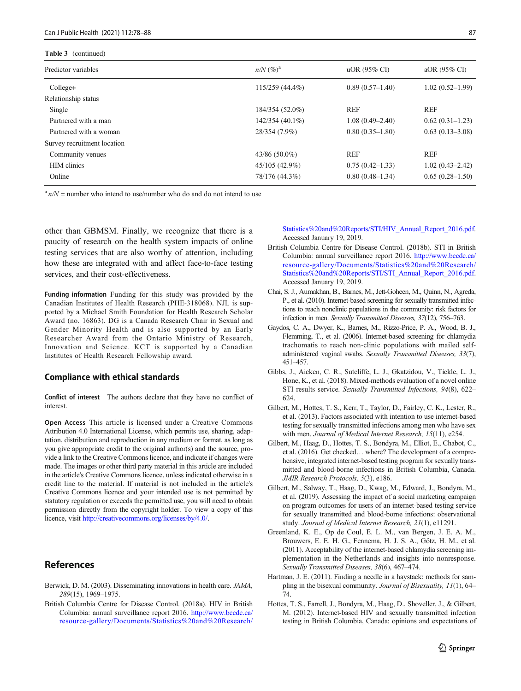#### <span id="page-9-0"></span>Table 3 (continued)

| Predictor variables         | $n/N$ $(\%)^a$  | $uOR$ (95% CI)      | aOR (95% CI)        |
|-----------------------------|-----------------|---------------------|---------------------|
| Collectef                   | 115/259 (44.4%) | $0.89(0.57-1.40)$   | $1.02(0.52 - 1.99)$ |
| Relationship status         |                 |                     |                     |
| Single                      | 184/354 (52.0%) | <b>REF</b>          | <b>REF</b>          |
| Partnered with a man        | 142/354 (40.1%) | $1.08(0.49 - 2.40)$ | $0.62(0.31-1.23)$   |
| Partnered with a woman      | 28/354 (7.9%)   | $0.80(0.35-1.80)$   | $0.63(0.13-3.08)$   |
| Survey recruitment location |                 |                     |                     |
| Community venues            | 43/86 (50.0%)   | <b>REF</b>          | <b>REF</b>          |
| <b>HIM</b> clinics          | 45/105 (42.9%)  | $0.75(0.42 - 1.33)$ | $1.02(0.43 - 2.42)$ |
| Online                      | 78/176 (44.3%)  | $0.80(0.48-1.34)$   | $0.65(0.28-1.50)$   |

 $n/N$  = number who intend to use/number who do and do not intend to use

other than GBMSM. Finally, we recognize that there is a paucity of research on the health system impacts of online testing services that are also worthy of attention, including how these are integrated with and affect face-to-face testing services, and their cost-effectiveness.

Funding information Funding for this study was provided by the Canadian Institutes of Health Research (PHE-318068). NJL is supported by a Michael Smith Foundation for Health Research Scholar Award (no. 16863). DG is a Canada Research Chair in Sexual and Gender Minority Health and is also supported by an Early Researcher Award from the Ontario Ministry of Research, Innovation and Science. KCT is supported by a Canadian Institutes of Health Research Fellowship award.

### Compliance with ethical standards

Conflict of interest The authors declare that they have no conflict of interest.

Open Access This article is licensed under a Creative Commons Attribution 4.0 International License, which permits use, sharing, adaptation, distribution and reproduction in any medium or format, as long as you give appropriate credit to the original author(s) and the source, provide a link to the Creative Commons licence, and indicate if changes were made. The images or other third party material in this article are included in the article's Creative Commons licence, unless indicated otherwise in a credit line to the material. If material is not included in the article's Creative Commons licence and your intended use is not permitted by statutory regulation or exceeds the permitted use, you will need to obtain permission directly from the copyright holder. To view a copy of this licence, visit <http://creativecommons.org/licenses/by/4.0/>.

# References

- Berwick, D. M. (2003). Disseminating innovations in health care. JAMA, 289(15), 1969–1975.
- British Columbia Centre for Disease Control. (2018a). HIV in British Columbia: annual surveillance report 2016. [http://www.bccdc.ca/](http://creativecommons.org/licenses/by/4.0/) [resource-gallery/Documents/Statistics%20and%20Research/](http://creativecommons.org/licenses/by/4.0/)

[Statistics%20and%20Reports/STI/HIV\\_Annual\\_Report\\_2016.pdf](http://creativecommons.org/licenses/by/4.0/). Accessed January 19, 2019.

- British Columbia Centre for Disease Control. (2018b). STI in British Columbia: annual surveillance report 2016. [http://www.bccdc.ca/](http://creativecommons.org/licenses/by/4.0/) [resource-gallery/Documents/Statistics%20and%20Research/](http://creativecommons.org/licenses/by/4.0/) [Statistics%20and%20Reports/STI/STI\\_Annual\\_Report\\_2016.pdf](http://creativecommons.org/licenses/by/4.0/). Accessed January 19, 2019.
- Chai, S. J., Aumakhan, B., Barnes, M., Jett-Goheen, M., Quinn, N., Agreda, P., et al. (2010). Internet-based screening for sexually transmitted infections to reach nonclinic populations in the community: risk factors for infection in men. Sexually Transmitted Diseases, 37(12), 756–763.
- Gaydos, C. A., Dwyer, K., Barnes, M., Rizzo-Price, P. A., Wood, B. J., Flemming, T., et al. (2006). Internet-based screening for chlamydia trachomatis to reach non-clinic populations with mailed selfadministered vaginal swabs. Sexually Transmitted Diseases, 33(7), 451–457.
- Gibbs, J., Aicken, C. R., Sutcliffe, L. J., Gkatzidou, V., Tickle, L. J., Hone, K., et al. (2018). Mixed-methods evaluation of a novel online STI results service. Sexually Transmitted Infections, 94(8), 622– 624.
- Gilbert, M., Hottes, T. S., Kerr, T., Taylor, D., Fairley, C. K., Lester, R., et al. (2013). Factors associated with intention to use internet-based testing for sexually transmitted infections among men who have sex with men. Journal of Medical Internet Research, 15(11), e254.
- Gilbert, M., Haag, D., Hottes, T. S., Bondyra, M., Elliot, E., Chabot, C., et al. (2016). Get checked… where? The development of a comprehensive, integrated internet-based testing program for sexually transmitted and blood-borne infections in British Columbia, Canada. JMIR Research Protocols, 5(3), e186.
- Gilbert, M., Salway, T., Haag, D., Kwag, M., Edward, J., Bondyra, M., et al. (2019). Assessing the impact of a social marketing campaign on program outcomes for users of an internet-based testing service for sexually transmitted and blood-borne infections: observational study. Journal of Medical Internet Research, 21(1), e11291.
- Greenland, K. E., Op de Coul, E. L. M., van Bergen, J. E. A. M., Brouwers, E. E. H. G., Fennema, H. J. S. A., Götz, H. M., et al. (2011). Acceptability of the internet-based chlamydia screening implementation in the Netherlands and insights into nonresponse. Sexually Transmitted Diseases, 38(6), 467–474.
- Hartman, J. E. (2011). Finding a needle in a haystack: methods for sampling in the bisexual community. Journal of Bisexuality, 11(1), 64– 74.
- Hottes, T. S., Farrell, J., Bondyra, M., Haag, D., Shoveller, J., & Gilbert, M. (2012). Internet-based HIV and sexually transmitted infection testing in British Columbia, Canada: opinions and expectations of